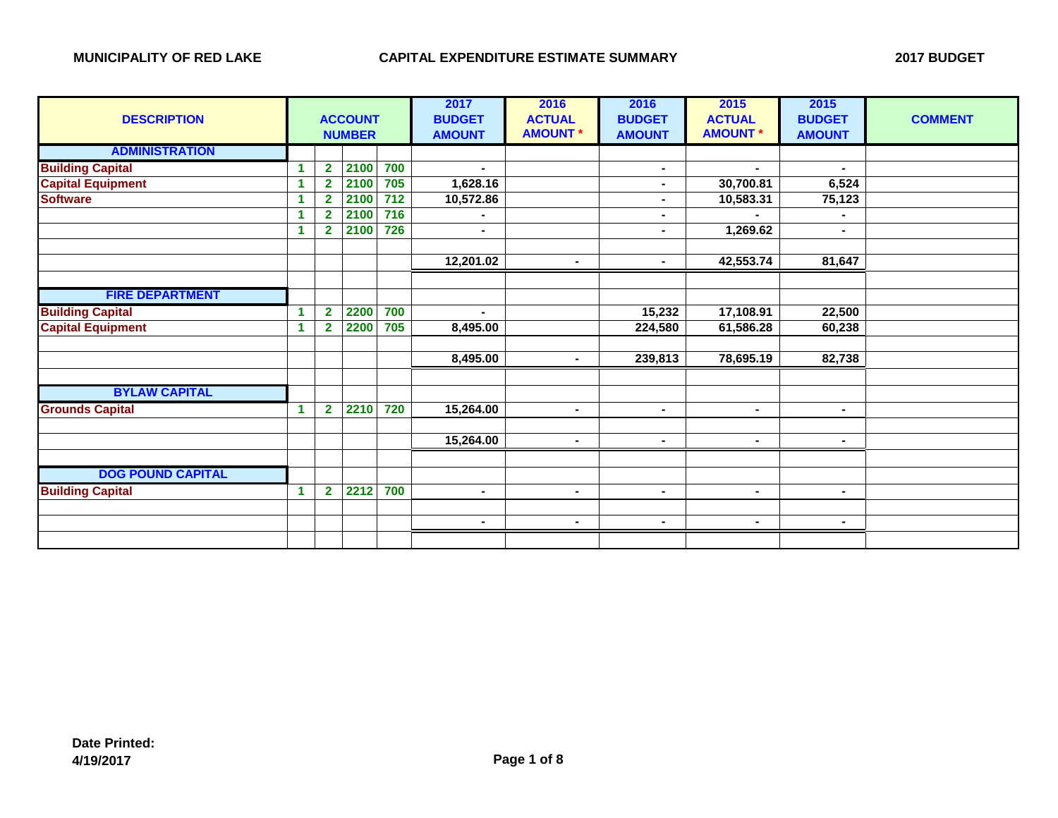| <b>DESCRIPTION</b>       |    | <b>ACCOUNT</b><br><b>NUMBER</b> |      |     | 2017<br><b>BUDGET</b><br><b>AMOUNT</b> | 2016<br><b>ACTUAL</b><br><b>AMOUNT *</b> | 2016<br><b>BUDGET</b><br><b>AMOUNT</b> | 2015<br><b>ACTUAL</b><br><b>AMOUNT *</b> | 2015<br><b>BUDGET</b><br><b>AMOUNT</b> | <b>COMMENT</b> |
|--------------------------|----|---------------------------------|------|-----|----------------------------------------|------------------------------------------|----------------------------------------|------------------------------------------|----------------------------------------|----------------|
| <b>ADMINISTRATION</b>    |    |                                 |      |     |                                        |                                          |                                        |                                          |                                        |                |
| <b>Building Capital</b>  |    | $\overline{\mathbf{2}}$         | 2100 | 700 |                                        |                                          | $\blacksquare$                         | ٠.                                       |                                        |                |
| <b>Capital Equipment</b> | 1. | $\overline{2}$                  | 2100 | 705 | 1,628.16                               |                                          | $\blacksquare$                         | 30,700.81                                | 6,524                                  |                |
| <b>Software</b>          |    | $\overline{2}$                  | 2100 | 712 | 10,572.86                              |                                          | $\blacksquare$                         | 10,583.31                                | 75,123                                 |                |
|                          |    | $\overline{2}$                  | 2100 | 716 |                                        |                                          |                                        |                                          |                                        |                |
|                          | 1. | $\overline{2}$                  | 2100 | 726 | $\blacksquare$                         |                                          | $\blacksquare$                         | 1,269.62                                 | $\blacksquare$                         |                |
|                          |    |                                 |      |     |                                        |                                          |                                        |                                          |                                        |                |
|                          |    |                                 |      |     | 12,201.02                              | $\blacksquare$                           | $\blacksquare$                         | 42,553.74                                | 81,647                                 |                |
|                          |    |                                 |      |     |                                        |                                          |                                        |                                          |                                        |                |
| <b>FIRE DEPARTMENT</b>   |    |                                 |      |     |                                        |                                          |                                        |                                          |                                        |                |
| <b>Building Capital</b>  |    | $\overline{2}$                  | 2200 | 700 | $\blacksquare$                         |                                          | 15,232                                 | 17,108.91                                | 22,500                                 |                |
| <b>Capital Equipment</b> |    | $\overline{2}$                  | 2200 | 705 | 8,495.00                               |                                          | 224,580                                | 61,586.28                                | 60,238                                 |                |
|                          |    |                                 |      |     |                                        |                                          |                                        |                                          |                                        |                |
|                          |    |                                 |      |     | 8,495.00                               | $\blacksquare$                           | 239,813                                | 78,695.19                                | 82,738                                 |                |
|                          |    |                                 |      |     |                                        |                                          |                                        |                                          |                                        |                |
| <b>BYLAW CAPITAL</b>     |    |                                 |      |     |                                        |                                          |                                        |                                          |                                        |                |
| <b>Grounds Capital</b>   | 1  | $\overline{2}$                  | 2210 | 720 | 15,264.00                              | $\blacksquare$                           | $\blacksquare$                         | $\blacksquare$                           |                                        |                |
|                          |    |                                 |      |     |                                        |                                          |                                        |                                          |                                        |                |
|                          |    |                                 |      |     | 15,264.00                              | $\blacksquare$                           | $\blacksquare$                         | $\blacksquare$                           | $\blacksquare$                         |                |
|                          |    |                                 |      |     |                                        |                                          |                                        |                                          |                                        |                |
| <b>DOG POUND CAPITAL</b> |    |                                 |      |     |                                        |                                          |                                        |                                          |                                        |                |
| <b>Building Capital</b>  |    | $\mathbf{2}$                    | 2212 | 700 | $\blacksquare$                         | $\blacksquare$                           | $\blacksquare$                         | $\blacksquare$                           | Ξ.                                     |                |
|                          |    |                                 |      |     |                                        |                                          |                                        |                                          |                                        |                |
|                          |    |                                 |      |     | $\sim$                                 | $\blacksquare$                           | $\blacksquare$                         | $\blacksquare$                           | Ξ.                                     |                |
|                          |    |                                 |      |     |                                        |                                          |                                        |                                          |                                        |                |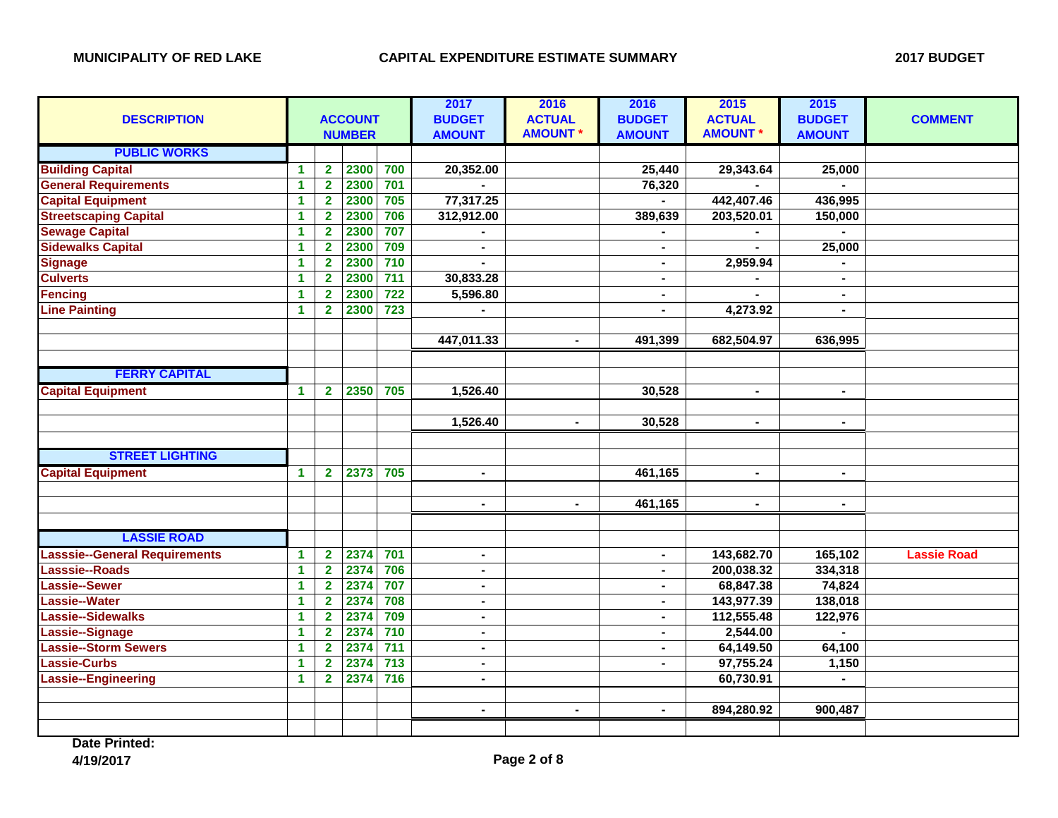| <b>DESCRIPTION</b>                   |                         | <b>ACCOUNT</b><br><b>NUMBER</b> |      |                  | 2017<br><b>BUDGET</b><br><b>AMOUNT</b> | 2016<br><b>ACTUAL</b><br><b>AMOUNT *</b> | 2016<br><b>BUDGET</b><br><b>AMOUNT</b> | 2015<br><b>ACTUAL</b><br><b>AMOUNT *</b> | 2015<br><b>BUDGET</b><br><b>AMOUNT</b> | <b>COMMENT</b>     |
|--------------------------------------|-------------------------|---------------------------------|------|------------------|----------------------------------------|------------------------------------------|----------------------------------------|------------------------------------------|----------------------------------------|--------------------|
| <b>PUBLIC WORKS</b>                  |                         |                                 |      |                  |                                        |                                          |                                        |                                          |                                        |                    |
| <b>Building Capital</b>              | $\blacktriangleleft$    | $\mathbf{2}$                    | 2300 | 700              | 20,352.00                              |                                          | 25,440                                 | 29,343.64                                | 25,000                                 |                    |
| <b>General Requirements</b>          | $\blacktriangleleft$    | $\overline{\mathbf{2}}$         | 2300 | 701              |                                        |                                          | 76,320                                 |                                          |                                        |                    |
| <b>Capital Equipment</b>             | $\blacktriangleleft$    | $\overline{2}$                  | 2300 | 705              | 77,317.25                              |                                          | $\blacksquare$                         | 442,407.46                               | 436,995                                |                    |
| <b>Streetscaping Capital</b>         | $\blacktriangleleft$    | $\overline{\mathbf{2}}$         | 2300 | 706              | 312,912.00                             |                                          | 389,639                                | 203,520.01                               | 150,000                                |                    |
| <b>Sewage Capital</b>                | $\overline{\mathbf{1}}$ | $\overline{\mathbf{2}}$         | 2300 | 707              |                                        |                                          |                                        |                                          |                                        |                    |
| <b>Sidewalks Capital</b>             | $\mathbf{1}$            | $\overline{\mathbf{2}}$         | 2300 | 709              | $\blacksquare$                         |                                          | $\blacksquare$                         |                                          | 25,000                                 |                    |
| <b>Signage</b>                       | $\mathbf{1}$            | $\overline{2}$                  | 2300 | 710              |                                        |                                          | $\blacksquare$                         | 2,959.94                                 |                                        |                    |
| <b>Culverts</b>                      | 1                       | $\overline{2}$                  | 2300 | $\overline{711}$ | 30,833.28                              |                                          | $\blacksquare$                         |                                          | $\blacksquare$                         |                    |
| <b>Fencing</b>                       | 1                       | $\overline{2}$                  | 2300 | $\overline{722}$ | 5,596.80                               |                                          | $\blacksquare$                         | $\sim$                                   | $\blacksquare$                         |                    |
| <b>Line Painting</b>                 | $\blacktriangleleft$    | $\overline{2}$                  | 2300 | 723              |                                        |                                          | $\blacksquare$                         | 4,273.92                                 | $\blacksquare$                         |                    |
|                                      |                         |                                 |      |                  |                                        |                                          |                                        |                                          |                                        |                    |
|                                      |                         |                                 |      |                  | 447,011.33                             | $\blacksquare$                           | 491,399                                | 682,504.97                               | 636,995                                |                    |
|                                      |                         |                                 |      |                  |                                        |                                          |                                        |                                          |                                        |                    |
| <b>FERRY CAPITAL</b>                 |                         |                                 |      |                  |                                        |                                          |                                        |                                          |                                        |                    |
| <b>Capital Equipment</b>             | $\blacktriangleleft$    | $\overline{2}$                  | 2350 | 705              | 1,526.40                               |                                          | 30,528                                 | $\blacksquare$                           | $\blacksquare$                         |                    |
|                                      |                         |                                 |      |                  |                                        |                                          |                                        |                                          |                                        |                    |
|                                      |                         |                                 |      |                  | 1,526.40                               | $\blacksquare$                           | 30,528                                 | $\blacksquare$                           | $\blacksquare$                         |                    |
|                                      |                         |                                 |      |                  |                                        |                                          |                                        |                                          |                                        |                    |
| <b>STREET LIGHTING</b>               |                         |                                 |      |                  |                                        |                                          |                                        |                                          |                                        |                    |
| <b>Capital Equipment</b>             | $\mathbf{1}$            | $\overline{2}$                  | 2373 | 705              | $\blacksquare$                         |                                          | 461,165                                | $\blacksquare$                           | $\blacksquare$                         |                    |
|                                      |                         |                                 |      |                  |                                        |                                          |                                        |                                          |                                        |                    |
|                                      |                         |                                 |      |                  | $\sim$                                 | $\blacksquare$                           | 461,165                                | $\blacksquare$                           | $\blacksquare$                         |                    |
|                                      |                         |                                 |      |                  |                                        |                                          |                                        |                                          |                                        |                    |
| <b>LASSIE ROAD</b>                   |                         |                                 |      |                  |                                        |                                          |                                        |                                          |                                        |                    |
| <b>Lasssie--General Requirements</b> | 1                       | $\mathbf{2}$                    | 2374 | 701              | $\blacksquare$                         |                                          | $\blacksquare$                         | 143,682.70                               | 165,102                                | <b>Lassie Road</b> |
| Lasssie--Roads                       | $\mathbf{1}$            | $\overline{\mathbf{2}}$         | 2374 | 706              | $\blacksquare$                         |                                          | $\blacksquare$                         | 200,038.32                               | 334,318                                |                    |
| <b>Lassie--Sewer</b>                 | $\mathbf{1}$            | $\overline{2}$                  | 2374 | 707              | $\blacksquare$                         |                                          | $\blacksquare$                         | 68,847.38                                | 74,824                                 |                    |
| <b>Lassie--Water</b>                 | $\blacktriangleleft$    | $\overline{2}$                  | 2374 | 708              | $\blacksquare$                         |                                          | $\blacksquare$                         | 143,977.39                               | 138,018                                |                    |
| Lassie--Sidewalks                    | $\blacktriangleleft$    | $\overline{\mathbf{2}}$         | 2374 | 709              | $\sim$                                 |                                          | ۰.                                     | 112,555.48                               | 122,976                                |                    |
| Lassie--Signage                      | $\overline{\mathbf{1}}$ | $\overline{2}$                  | 2374 | 710              | $\blacksquare$                         |                                          | $\blacksquare$                         | 2,544.00                                 |                                        |                    |
| <b>Lassie--Storm Sewers</b>          | $\mathbf{1}$            | $\overline{\mathbf{2}}$         | 2374 | 711              | $\blacksquare$                         |                                          |                                        | 64,149.50                                | 64,100                                 |                    |
| <b>Lassie-Curbs</b>                  | $\blacktriangleleft$    | $\overline{2}$                  | 2374 | $\overline{713}$ | $\blacksquare$                         |                                          |                                        | 97,755.24                                | 1,150                                  |                    |
| <b>Lassie--Engineering</b>           | $\blacktriangleleft$    | $\overline{2}$                  | 2374 | $\frac{1}{716}$  | $\blacksquare$                         |                                          |                                        | 60,730.91                                | $\blacksquare$                         |                    |
|                                      |                         |                                 |      |                  |                                        |                                          |                                        |                                          |                                        |                    |
|                                      |                         |                                 |      |                  | $\blacksquare$                         | $\blacksquare$                           | $\blacksquare$                         | 894,280.92                               | 900,487                                |                    |
|                                      |                         |                                 |      |                  |                                        |                                          |                                        |                                          |                                        |                    |

**Date Printed: 4/19/2017 Page 2 of 8**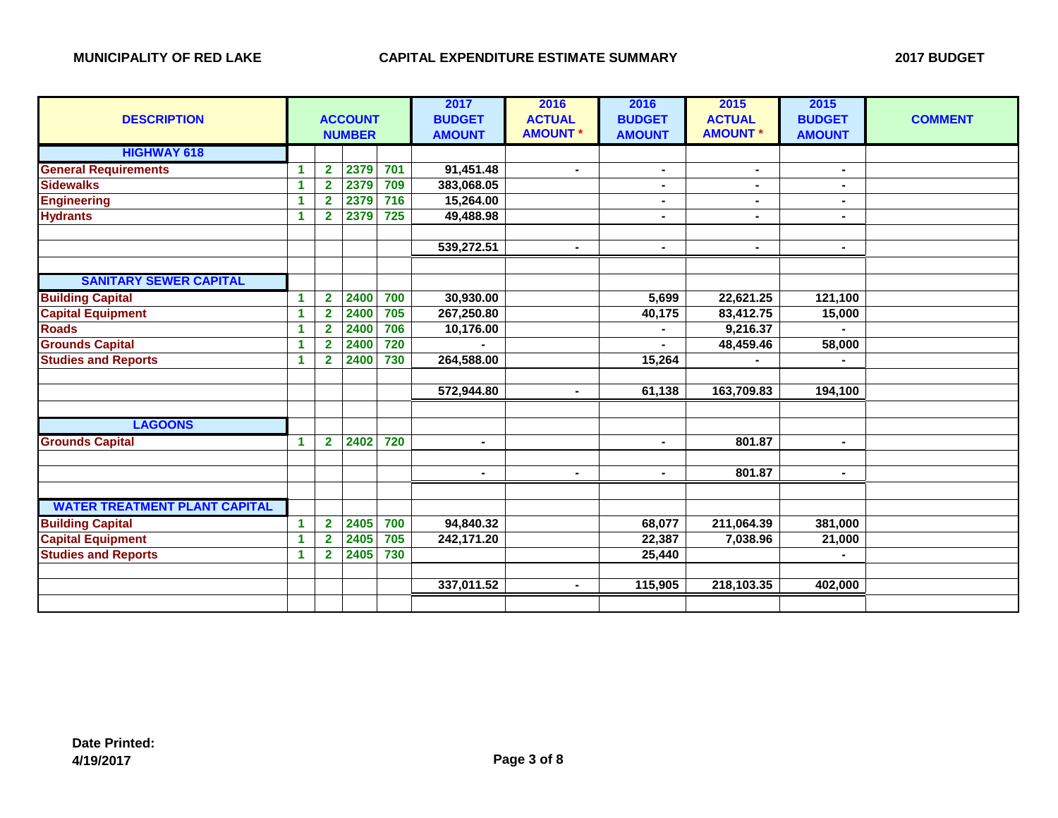| <b>DESCRIPTION</b>                   |                      |                         | <b>ACCOUNT</b><br><b>NUMBER</b> |     | 2017<br><b>BUDGET</b><br><b>AMOUNT</b> | 2016<br><b>ACTUAL</b><br><b>AMOUNT *</b> | 2016<br><b>BUDGET</b><br><b>AMOUNT</b> | 2015<br><b>ACTUAL</b><br><b>AMOUNT *</b> | 2015<br><b>BUDGET</b><br><b>AMOUNT</b> | <b>COMMENT</b> |
|--------------------------------------|----------------------|-------------------------|---------------------------------|-----|----------------------------------------|------------------------------------------|----------------------------------------|------------------------------------------|----------------------------------------|----------------|
| <b>HIGHWAY 618</b>                   |                      |                         |                                 |     |                                        |                                          |                                        |                                          |                                        |                |
| <b>General Requirements</b>          | 1                    | $\overline{2}$          | 2379                            | 701 | 91,451.48                              | $\blacksquare$                           | $\blacksquare$                         | $\blacksquare$                           | $\blacksquare$                         |                |
| <b>Sidewalks</b>                     | 1                    | $\overline{\mathbf{2}}$ | 2379                            | 709 | 383,068.05                             |                                          |                                        |                                          |                                        |                |
| <b>Engineering</b>                   | 1                    | $\overline{2}$          | 2379                            | 716 | 15,264.00                              |                                          | $\blacksquare$                         | $\blacksquare$                           |                                        |                |
| <b>Hydrants</b>                      | $\blacktriangleleft$ | $\overline{2}$          | 2379                            | 725 | 49,488.98                              |                                          | $\blacksquare$                         | $\blacksquare$                           | L.                                     |                |
|                                      |                      |                         |                                 |     |                                        |                                          |                                        |                                          |                                        |                |
|                                      |                      |                         |                                 |     | 539,272.51                             | $\blacksquare$                           | $\blacksquare$                         | $\sim$                                   | $\blacksquare$                         |                |
|                                      |                      |                         |                                 |     |                                        |                                          |                                        |                                          |                                        |                |
| <b>SANITARY SEWER CAPITAL</b>        |                      |                         |                                 |     |                                        |                                          |                                        |                                          |                                        |                |
| <b>Building Capital</b>              | 1                    | $\mathbf{2}$            | 2400                            | 700 | 30,930.00                              |                                          | 5,699                                  | 22,621.25                                | 121,100                                |                |
| <b>Capital Equipment</b>             | 1                    | $\overline{\mathbf{2}}$ | 2400                            | 705 | 267,250.80                             |                                          | 40,175                                 | 83,412.75                                | 15,000                                 |                |
| <b>Roads</b>                         | 1                    | $\overline{2}$          | 2400                            | 706 | 10,176.00                              |                                          |                                        | 9,216.37                                 |                                        |                |
| <b>Grounds Capital</b>               | 1                    | $\overline{2}$          | 2400                            | 720 |                                        |                                          |                                        | 48,459.46                                | 58,000                                 |                |
| <b>Studies and Reports</b>           | $\blacktriangleleft$ | $\mathbf{2}$            | 2400                            | 730 | 264,588.00                             |                                          | 15,264                                 |                                          |                                        |                |
|                                      |                      |                         |                                 |     |                                        |                                          |                                        |                                          |                                        |                |
|                                      |                      |                         |                                 |     | 572,944.80                             | $\blacksquare$                           | 61,138                                 | 163,709.83                               | 194,100                                |                |
|                                      |                      |                         |                                 |     |                                        |                                          |                                        |                                          |                                        |                |
| <b>LAGOONS</b>                       |                      |                         |                                 |     |                                        |                                          |                                        |                                          |                                        |                |
| <b>Grounds Capital</b>               | $\blacktriangleleft$ | $\mathbf{2}$            | 2402                            | 720 | $\blacksquare$                         |                                          |                                        | 801.87                                   | $\blacksquare$                         |                |
|                                      |                      |                         |                                 |     |                                        |                                          |                                        |                                          |                                        |                |
|                                      |                      |                         |                                 |     | $\blacksquare$                         | $\blacksquare$                           | $\blacksquare$                         | 801.87                                   | $\blacksquare$                         |                |
|                                      |                      |                         |                                 |     |                                        |                                          |                                        |                                          |                                        |                |
| <b>WATER TREATMENT PLANT CAPITAL</b> |                      |                         |                                 |     |                                        |                                          |                                        |                                          |                                        |                |
| <b>Building Capital</b>              | $\blacktriangleleft$ | $\overline{2}$          | 2405                            | 700 | 94,840.32                              |                                          | 68,077                                 | 211,064.39                               | 381,000                                |                |
| <b>Capital Equipment</b>             | 1                    | $\overline{\mathbf{2}}$ | 2405                            | 705 | 242,171.20                             |                                          | 22,387                                 | 7,038.96                                 | 21,000                                 |                |
| <b>Studies and Reports</b>           | $\blacktriangleleft$ | $\mathbf{2}$            | 2405                            | 730 |                                        |                                          | 25,440                                 |                                          |                                        |                |
|                                      |                      |                         |                                 |     |                                        |                                          |                                        |                                          |                                        |                |
|                                      |                      |                         |                                 |     | 337,011.52                             | $\blacksquare$                           | 115,905                                | 218,103.35                               | 402,000                                |                |
|                                      |                      |                         |                                 |     |                                        |                                          |                                        |                                          |                                        |                |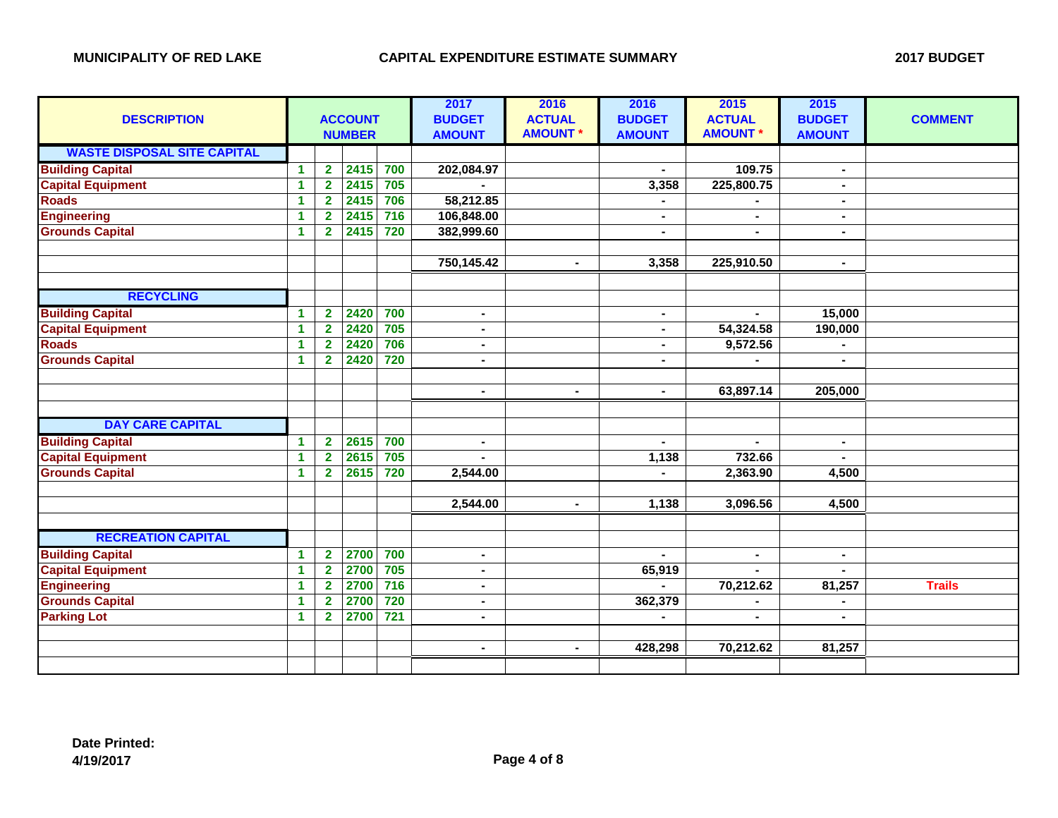| <b>DESCRIPTION</b>                 | <b>ACCOUNT</b><br><b>NUMBER</b> |                         |      |     | 2017<br><b>BUDGET</b><br><b>AMOUNT</b> | 2016<br><b>ACTUAL</b><br><b>AMOUNT*</b> | 2016<br><b>BUDGET</b><br><b>AMOUNT</b> | 2015<br><b>ACTUAL</b><br><b>AMOUNT *</b> | 2015<br><b>BUDGET</b><br><b>AMOUNT</b> | <b>COMMENT</b> |
|------------------------------------|---------------------------------|-------------------------|------|-----|----------------------------------------|-----------------------------------------|----------------------------------------|------------------------------------------|----------------------------------------|----------------|
| <b>WASTE DISPOSAL SITE CAPITAL</b> |                                 |                         |      |     |                                        |                                         |                                        |                                          |                                        |                |
| <b>Building Capital</b>            | $\mathbf{1}$                    | $\mathbf{2}$            | 2415 | 700 | 202,084.97                             |                                         |                                        | 109.75                                   | $\blacksquare$                         |                |
| <b>Capital Equipment</b>           | 1.                              | $\overline{\mathbf{2}}$ | 2415 | 705 |                                        |                                         | 3,358                                  | 225,800.75                               |                                        |                |
| <b>Roads</b>                       | 1.                              | $\overline{2}$          | 2415 | 706 | 58,212.85                              |                                         |                                        |                                          |                                        |                |
| <b>Engineering</b>                 | 1.                              | $\overline{2}$          | 2415 | 716 | 106,848.00                             |                                         |                                        |                                          |                                        |                |
| <b>Grounds Capital</b>             | 1.                              | $\overline{2}$          | 2415 | 720 | 382,999.60                             |                                         | $\blacksquare$                         | $\blacksquare$                           |                                        |                |
|                                    |                                 |                         |      |     |                                        |                                         |                                        |                                          |                                        |                |
|                                    |                                 |                         |      |     | 750,145.42                             | $\blacksquare$                          | 3,358                                  | 225,910.50                               | $\blacksquare$                         |                |
|                                    |                                 |                         |      |     |                                        |                                         |                                        |                                          |                                        |                |
| <b>RECYCLING</b>                   |                                 |                         |      |     |                                        |                                         |                                        |                                          |                                        |                |
| <b>Building Capital</b>            | $\mathbf{1}$                    | $\overline{\mathbf{2}}$ | 2420 | 700 | $\blacksquare$                         |                                         | $\blacksquare$                         |                                          | 15,000                                 |                |
| <b>Capital Equipment</b>           | $\mathbf{1}$                    | $\overline{2}$          | 2420 | 705 | Ξ.                                     |                                         | $\blacksquare$                         | 54,324.58                                | 190,000                                |                |
| <b>Roads</b>                       | $\mathbf{1}$                    | $\overline{2}$          | 2420 | 706 | Ξ.                                     |                                         |                                        | 9,572.56                                 |                                        |                |
| <b>Grounds Capital</b>             | $\mathbf{1}$                    | $\mathbf{2}$            | 2420 | 720 | Ξ.                                     |                                         |                                        |                                          |                                        |                |
|                                    |                                 |                         |      |     |                                        |                                         |                                        |                                          |                                        |                |
|                                    |                                 |                         |      |     | $\blacksquare$                         | $\blacksquare$                          | $\blacksquare$                         | 63,897.14                                | 205,000                                |                |
|                                    |                                 |                         |      |     |                                        |                                         |                                        |                                          |                                        |                |
| <b>DAY CARE CAPITAL</b>            |                                 |                         |      |     |                                        |                                         |                                        |                                          |                                        |                |
| <b>Building Capital</b>            | $\mathbf{1}$                    | $\overline{2}$          | 2615 | 700 | Ξ.                                     |                                         |                                        |                                          | $\blacksquare$                         |                |
| <b>Capital Equipment</b>           | $\mathbf 1$                     | $\overline{\mathbf{2}}$ | 2615 | 705 |                                        |                                         | 1,138                                  | 732.66                                   |                                        |                |
| <b>Grounds Capital</b>             | $\mathbf 1$                     | $\overline{2}$          | 2615 | 720 | 2,544.00                               |                                         |                                        | 2,363.90                                 | 4,500                                  |                |
|                                    |                                 |                         |      |     |                                        |                                         |                                        |                                          |                                        |                |
|                                    |                                 |                         |      |     | 2,544.00                               | $\blacksquare$                          | 1,138                                  | 3,096.56                                 | 4,500                                  |                |
|                                    |                                 |                         |      |     |                                        |                                         |                                        |                                          |                                        |                |
| <b>RECREATION CAPITAL</b>          |                                 |                         |      |     |                                        |                                         |                                        |                                          |                                        |                |
| <b>Building Capital</b>            | 1.                              | $\mathbf{2}$            | 2700 | 700 | $\blacksquare$                         |                                         |                                        | $\blacksquare$                           | $\blacksquare$                         |                |
| <b>Capital Equipment</b>           | 1.                              | $\overline{\mathbf{2}}$ | 2700 | 705 | Ξ.                                     |                                         | 65,919                                 |                                          |                                        |                |
| <b>Engineering</b>                 | 1.                              | $\mathbf{2}$            | 2700 | 716 | Ξ.                                     |                                         |                                        | 70,212.62                                | 81,257                                 | <b>Trails</b>  |
| <b>Grounds Capital</b>             | 1.                              | $\overline{2}$          | 2700 | 720 | Ξ.                                     |                                         | 362,379                                | $\blacksquare$                           | $\blacksquare$                         |                |
| <b>Parking Lot</b>                 | 1.                              | $\overline{2}$          | 2700 | 721 | $\blacksquare$                         |                                         |                                        | $\blacksquare$                           | $\blacksquare$                         |                |
|                                    |                                 |                         |      |     |                                        |                                         |                                        |                                          |                                        |                |
|                                    |                                 |                         |      |     | $\blacksquare$                         | $\blacksquare$                          | 428,298                                | 70,212.62                                | 81,257                                 |                |
|                                    |                                 |                         |      |     |                                        |                                         |                                        |                                          |                                        |                |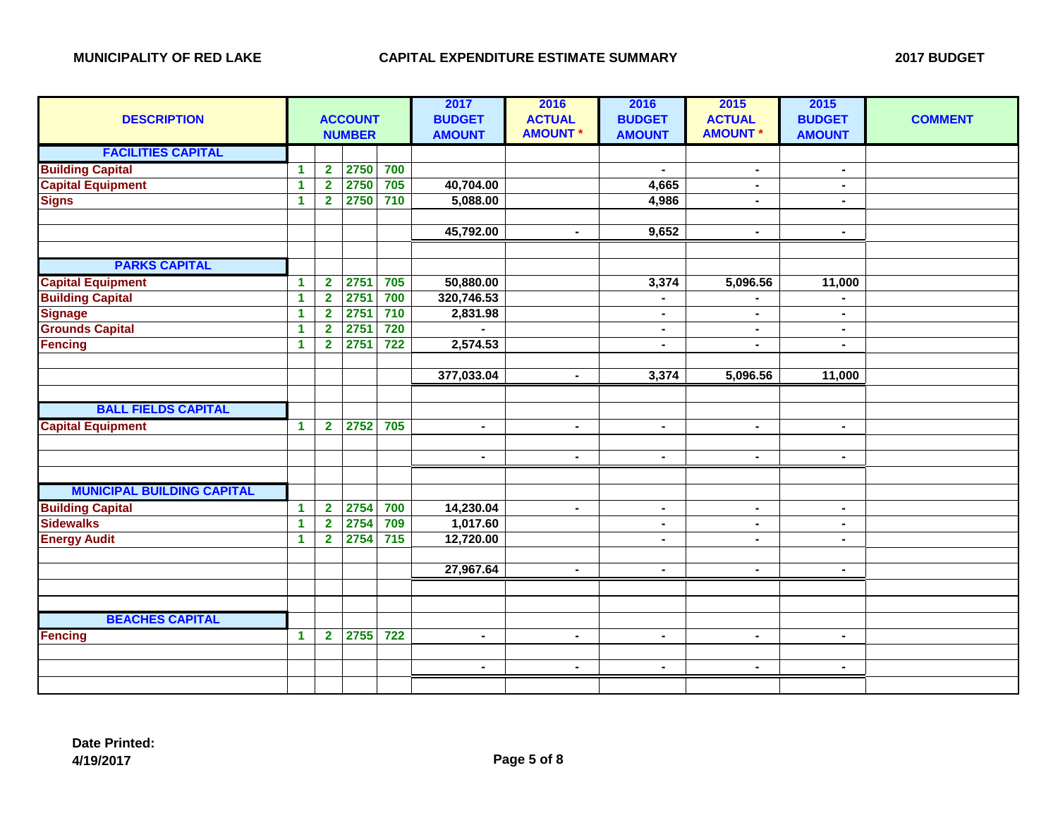| <b>DESCRIPTION</b>                |              | <b>ACCOUNT</b><br><b>NUMBER</b> |      |                  | 2017<br><b>BUDGET</b><br><b>AMOUNT</b> | 2016<br><b>ACTUAL</b><br><b>AMOUNT*</b> | 2016<br><b>BUDGET</b><br><b>AMOUNT</b> | 2015<br><b>ACTUAL</b><br><b>AMOUNT*</b> | 2015<br><b>BUDGET</b><br><b>AMOUNT</b> | <b>COMMENT</b> |
|-----------------------------------|--------------|---------------------------------|------|------------------|----------------------------------------|-----------------------------------------|----------------------------------------|-----------------------------------------|----------------------------------------|----------------|
| <b>FACILITIES CAPITAL</b>         |              |                                 |      |                  |                                        |                                         |                                        |                                         |                                        |                |
| <b>Building Capital</b>           | 1.           | $\mathbf{2}$                    | 2750 | 700              |                                        |                                         | $\blacksquare$                         | $\blacksquare$                          | $\blacksquare$                         |                |
| <b>Capital Equipment</b>          | $\mathbf{1}$ | $\overline{2}$                  | 2750 | 705              | 40,704.00                              |                                         | 4,665                                  | $\blacksquare$                          | $\blacksquare$                         |                |
| <b>Signs</b>                      | $\mathbf{1}$ | $\mathbf{2}$                    | 2750 | 710              | 5,088.00                               |                                         | 4,986                                  | ٠.                                      | $\blacksquare$                         |                |
|                                   |              |                                 |      |                  |                                        |                                         |                                        |                                         |                                        |                |
|                                   |              |                                 |      |                  | 45,792.00                              | $\blacksquare$                          | 9,652                                  | $\blacksquare$                          | $\blacksquare$                         |                |
| <b>PARKS CAPITAL</b>              |              |                                 |      |                  |                                        |                                         |                                        |                                         |                                        |                |
| <b>Capital Equipment</b>          | $\mathbf{1}$ | $\overline{2}$                  | 2751 | 705              | 50,880.00                              |                                         | 3,374                                  | 5,096.56                                | 11,000                                 |                |
| <b>Building Capital</b>           | $\mathbf{1}$ | $\overline{2}$                  | 2751 | 700              | 320,746.53                             |                                         | $\blacksquare$                         | $\blacksquare$                          | $\blacksquare$                         |                |
| <b>Signage</b>                    | $\mathbf{1}$ | $\mathbf{2}$                    | 2751 | 710              | 2,831.98                               |                                         | $\blacksquare$                         | $\blacksquare$                          | $\blacksquare$                         |                |
| <b>Grounds Capital</b>            | $\mathbf{1}$ | $\overline{2}$                  | 2751 | 720              |                                        |                                         | $\blacksquare$                         | $\blacksquare$                          | $\blacksquare$                         |                |
| <b>Fencing</b>                    | $\mathbf{1}$ | $\mathbf{2}$                    | 2751 | $\overline{722}$ | 2,574.53                               |                                         | $\blacksquare$                         |                                         | $\blacksquare$                         |                |
|                                   |              |                                 |      |                  |                                        |                                         |                                        |                                         |                                        |                |
|                                   |              |                                 |      |                  | 377,033.04                             | $\blacksquare$                          | 3,374                                  | 5,096.56                                | $\overline{11,000}$                    |                |
|                                   |              |                                 |      |                  |                                        |                                         |                                        |                                         |                                        |                |
| <b>BALL FIELDS CAPITAL</b>        |              |                                 |      |                  |                                        |                                         |                                        |                                         |                                        |                |
| <b>Capital Equipment</b>          | $\mathbf 1$  | $\mathbf{2}$                    | 2752 | 705              | $\blacksquare$                         | $\blacksquare$                          | $\blacksquare$                         | $\blacksquare$                          | $\blacksquare$                         |                |
|                                   |              |                                 |      |                  |                                        |                                         |                                        |                                         |                                        |                |
|                                   |              |                                 |      |                  | $\blacksquare$                         | $\sim$                                  | $\blacksquare$                         | ۰.                                      | $\sim$                                 |                |
|                                   |              |                                 |      |                  |                                        |                                         |                                        |                                         |                                        |                |
| <b>MUNICIPAL BUILDING CAPITAL</b> |              |                                 |      |                  |                                        |                                         |                                        |                                         |                                        |                |
| <b>Building Capital</b>           | $\mathbf{1}$ | $\overline{2}$                  | 2754 | 700              | 14,230.04                              | $\sim$                                  | $\blacksquare$                         | $\blacksquare$                          | $\blacksquare$                         |                |
| <b>Sidewalks</b>                  | $\mathbf{1}$ | $\overline{2}$                  | 2754 | 709              | 1,017.60                               |                                         | $\blacksquare$                         | $\blacksquare$                          | $\blacksquare$                         |                |
| <b>Energy Audit</b>               | $\mathbf{1}$ | $\mathbf{2}$                    | 2754 | $\overline{715}$ | 12,720.00                              |                                         | $\blacksquare$                         | $\blacksquare$                          | $\blacksquare$                         |                |
|                                   |              |                                 |      |                  |                                        |                                         |                                        |                                         |                                        |                |
|                                   |              |                                 |      |                  | 27,967.64                              | $\blacksquare$                          | $\blacksquare$                         | $\blacksquare$                          | $\sim$                                 |                |
|                                   |              |                                 |      |                  |                                        |                                         |                                        |                                         |                                        |                |
|                                   |              |                                 |      |                  |                                        |                                         |                                        |                                         |                                        |                |
| <b>BEACHES CAPITAL</b>            |              |                                 |      |                  |                                        |                                         |                                        |                                         |                                        |                |
| <b>Fencing</b>                    | $\mathbf{1}$ | $\overline{2}$                  | 2755 | $\overline{722}$ | $\overline{\phantom{0}}$               | $\blacksquare$                          | $\blacksquare$                         | $\blacksquare$                          | $\blacksquare$                         |                |
|                                   |              |                                 |      |                  |                                        |                                         |                                        |                                         |                                        |                |
|                                   |              |                                 |      |                  | $\blacksquare$                         | $\blacksquare$                          | $\blacksquare$                         | $\blacksquare$                          | $\blacksquare$                         |                |
|                                   |              |                                 |      |                  |                                        |                                         |                                        |                                         |                                        |                |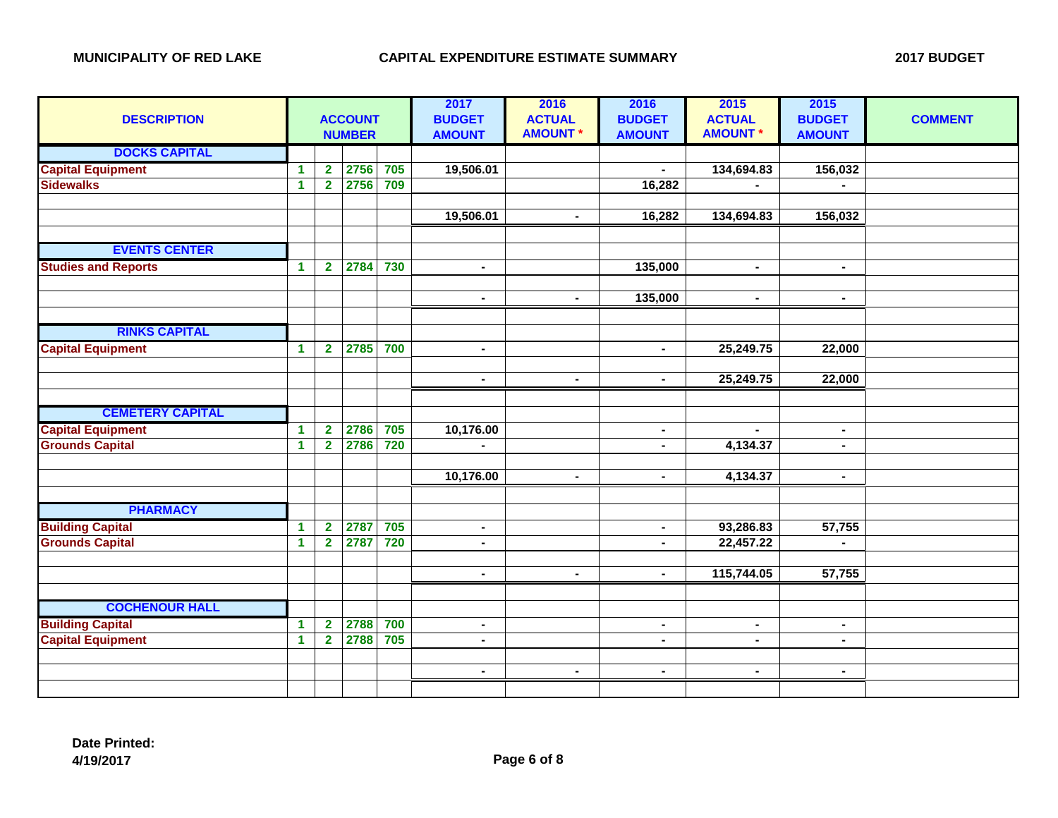| <b>ACCOUNT</b><br><b>NUMBER</b> |                                                                                                                                                                                      |                                                                                                                                                            |                                                      | 2017<br><b>BUDGET</b><br><b>AMOUNT</b>                                                     | 2016<br><b>ACTUAL</b><br><b>AMOUNT *</b>                                                                                                                     | 2016<br><b>BUDGET</b><br><b>AMOUNT</b>             | 2015<br><b>ACTUAL</b><br><b>AMOUNT *</b>                                                                                                                     | 2015<br><b>BUDGET</b><br><b>AMOUNT</b>                                                                                                 | <b>COMMENT</b>                                                                                                                                                 |
|---------------------------------|--------------------------------------------------------------------------------------------------------------------------------------------------------------------------------------|------------------------------------------------------------------------------------------------------------------------------------------------------------|------------------------------------------------------|--------------------------------------------------------------------------------------------|--------------------------------------------------------------------------------------------------------------------------------------------------------------|----------------------------------------------------|--------------------------------------------------------------------------------------------------------------------------------------------------------------|----------------------------------------------------------------------------------------------------------------------------------------|----------------------------------------------------------------------------------------------------------------------------------------------------------------|
|                                 |                                                                                                                                                                                      |                                                                                                                                                            |                                                      |                                                                                            |                                                                                                                                                              |                                                    |                                                                                                                                                              |                                                                                                                                        |                                                                                                                                                                |
| $\blacktriangleleft$            | $\mathbf{2}$                                                                                                                                                                         |                                                                                                                                                            |                                                      |                                                                                            |                                                                                                                                                              |                                                    |                                                                                                                                                              |                                                                                                                                        |                                                                                                                                                                |
|                                 |                                                                                                                                                                                      |                                                                                                                                                            |                                                      |                                                                                            |                                                                                                                                                              |                                                    |                                                                                                                                                              |                                                                                                                                        |                                                                                                                                                                |
|                                 |                                                                                                                                                                                      |                                                                                                                                                            |                                                      |                                                                                            |                                                                                                                                                              |                                                    |                                                                                                                                                              |                                                                                                                                        |                                                                                                                                                                |
|                                 |                                                                                                                                                                                      |                                                                                                                                                            |                                                      |                                                                                            | $\blacksquare$                                                                                                                                               |                                                    |                                                                                                                                                              |                                                                                                                                        |                                                                                                                                                                |
|                                 |                                                                                                                                                                                      |                                                                                                                                                            |                                                      |                                                                                            |                                                                                                                                                              |                                                    |                                                                                                                                                              |                                                                                                                                        |                                                                                                                                                                |
|                                 |                                                                                                                                                                                      |                                                                                                                                                            |                                                      |                                                                                            |                                                                                                                                                              |                                                    |                                                                                                                                                              |                                                                                                                                        |                                                                                                                                                                |
|                                 |                                                                                                                                                                                      |                                                                                                                                                            |                                                      | $\blacksquare$                                                                             |                                                                                                                                                              |                                                    | $\sim$                                                                                                                                                       | $\blacksquare$                                                                                                                         |                                                                                                                                                                |
|                                 |                                                                                                                                                                                      |                                                                                                                                                            |                                                      |                                                                                            |                                                                                                                                                              |                                                    |                                                                                                                                                              |                                                                                                                                        |                                                                                                                                                                |
|                                 |                                                                                                                                                                                      |                                                                                                                                                            |                                                      |                                                                                            |                                                                                                                                                              |                                                    |                                                                                                                                                              |                                                                                                                                        |                                                                                                                                                                |
|                                 |                                                                                                                                                                                      |                                                                                                                                                            |                                                      |                                                                                            |                                                                                                                                                              |                                                    |                                                                                                                                                              |                                                                                                                                        |                                                                                                                                                                |
|                                 |                                                                                                                                                                                      |                                                                                                                                                            |                                                      |                                                                                            |                                                                                                                                                              |                                                    |                                                                                                                                                              |                                                                                                                                        |                                                                                                                                                                |
|                                 |                                                                                                                                                                                      |                                                                                                                                                            |                                                      | $\blacksquare$                                                                             |                                                                                                                                                              | $\blacksquare$                                     |                                                                                                                                                              |                                                                                                                                        |                                                                                                                                                                |
|                                 |                                                                                                                                                                                      |                                                                                                                                                            |                                                      |                                                                                            |                                                                                                                                                              |                                                    |                                                                                                                                                              |                                                                                                                                        |                                                                                                                                                                |
|                                 |                                                                                                                                                                                      |                                                                                                                                                            |                                                      |                                                                                            |                                                                                                                                                              |                                                    |                                                                                                                                                              |                                                                                                                                        |                                                                                                                                                                |
|                                 |                                                                                                                                                                                      |                                                                                                                                                            |                                                      |                                                                                            |                                                                                                                                                              |                                                    |                                                                                                                                                              |                                                                                                                                        |                                                                                                                                                                |
|                                 |                                                                                                                                                                                      |                                                                                                                                                            |                                                      |                                                                                            |                                                                                                                                                              |                                                    |                                                                                                                                                              |                                                                                                                                        |                                                                                                                                                                |
|                                 |                                                                                                                                                                                      |                                                                                                                                                            |                                                      |                                                                                            |                                                                                                                                                              |                                                    |                                                                                                                                                              |                                                                                                                                        |                                                                                                                                                                |
|                                 |                                                                                                                                                                                      |                                                                                                                                                            |                                                      |                                                                                            |                                                                                                                                                              |                                                    |                                                                                                                                                              |                                                                                                                                        |                                                                                                                                                                |
|                                 |                                                                                                                                                                                      |                                                                                                                                                            |                                                      |                                                                                            |                                                                                                                                                              |                                                    |                                                                                                                                                              |                                                                                                                                        |                                                                                                                                                                |
|                                 |                                                                                                                                                                                      |                                                                                                                                                            |                                                      |                                                                                            |                                                                                                                                                              |                                                    |                                                                                                                                                              |                                                                                                                                        |                                                                                                                                                                |
|                                 |                                                                                                                                                                                      |                                                                                                                                                            |                                                      |                                                                                            |                                                                                                                                                              |                                                    |                                                                                                                                                              |                                                                                                                                        |                                                                                                                                                                |
|                                 |                                                                                                                                                                                      |                                                                                                                                                            |                                                      |                                                                                            |                                                                                                                                                              |                                                    |                                                                                                                                                              |                                                                                                                                        |                                                                                                                                                                |
|                                 |                                                                                                                                                                                      |                                                                                                                                                            |                                                      |                                                                                            |                                                                                                                                                              |                                                    |                                                                                                                                                              |                                                                                                                                        |                                                                                                                                                                |
|                                 |                                                                                                                                                                                      |                                                                                                                                                            |                                                      |                                                                                            |                                                                                                                                                              |                                                    |                                                                                                                                                              |                                                                                                                                        |                                                                                                                                                                |
|                                 |                                                                                                                                                                                      |                                                                                                                                                            |                                                      |                                                                                            | $\blacksquare$                                                                                                                                               |                                                    |                                                                                                                                                              |                                                                                                                                        |                                                                                                                                                                |
|                                 |                                                                                                                                                                                      |                                                                                                                                                            |                                                      |                                                                                            |                                                                                                                                                              |                                                    |                                                                                                                                                              |                                                                                                                                        |                                                                                                                                                                |
|                                 |                                                                                                                                                                                      |                                                                                                                                                            |                                                      |                                                                                            |                                                                                                                                                              |                                                    |                                                                                                                                                              |                                                                                                                                        |                                                                                                                                                                |
|                                 |                                                                                                                                                                                      |                                                                                                                                                            |                                                      | $\sim$                                                                                     |                                                                                                                                                              | $\blacksquare$                                     | $\sim$                                                                                                                                                       |                                                                                                                                        |                                                                                                                                                                |
| $\blacktriangleleft$            |                                                                                                                                                                                      |                                                                                                                                                            |                                                      | $\blacksquare$                                                                             |                                                                                                                                                              | $\blacksquare$                                     | $\sim$                                                                                                                                                       | $\blacksquare$                                                                                                                         |                                                                                                                                                                |
|                                 |                                                                                                                                                                                      |                                                                                                                                                            |                                                      |                                                                                            |                                                                                                                                                              |                                                    |                                                                                                                                                              |                                                                                                                                        |                                                                                                                                                                |
|                                 |                                                                                                                                                                                      |                                                                                                                                                            |                                                      | $\blacksquare$                                                                             | $\blacksquare$                                                                                                                                               | $\blacksquare$                                     | $\sim$                                                                                                                                                       | $\sim$                                                                                                                                 |                                                                                                                                                                |
|                                 |                                                                                                                                                                                      |                                                                                                                                                            |                                                      |                                                                                            |                                                                                                                                                              |                                                    |                                                                                                                                                              |                                                                                                                                        |                                                                                                                                                                |
|                                 | $\blacktriangleleft$<br>$\blacktriangleleft$<br>$\blacktriangleleft$<br>$\blacktriangleleft$<br>$\blacktriangleleft$<br>$\blacktriangleleft$<br>$\blacktriangleleft$<br>$\mathbf{1}$ | $\overline{2}$<br>$\mathbf{2}$<br>$\overline{2}$<br>$\overline{2}$<br>$\overline{2}$<br>$\overline{2}$<br>$\mathbf{2}$<br>$\overline{2}$<br>$\overline{2}$ | 2756<br>2786<br>2786<br>2787<br>2787<br>2788<br>2788 | 705<br>2756<br>709<br>2784<br>730<br>2785<br>700<br>705<br>720<br>705<br>720<br>700<br>705 | 19,506.01<br>19,506.01<br>$\blacksquare$<br>$\blacksquare$<br>10,176.00<br>$\blacksquare$<br>10,176.00<br>$\blacksquare$<br>$\blacksquare$<br>$\blacksquare$ | $\blacksquare$<br>$\blacksquare$<br>$\blacksquare$ | 16,282<br>16,282<br>135,000<br>135,000<br>$\blacksquare$<br>$\blacksquare$<br>$\blacksquare$<br>$\blacksquare$<br>$\blacksquare$<br>$\blacksquare$<br>$\sim$ | 134,694.83<br>134,694.83<br>$\sim$<br>25,249.75<br>25,249.75<br>$\sim$<br>4,134.37<br>4,134.37<br>93,286.83<br>22,457.22<br>115,744.05 | 156,032<br>156,032<br>$\blacksquare$<br>22,000<br>22,000<br>$\blacksquare$<br>$\blacksquare$<br>$\blacksquare$<br>57,755<br>$\blacksquare$<br>57,755<br>$\sim$ |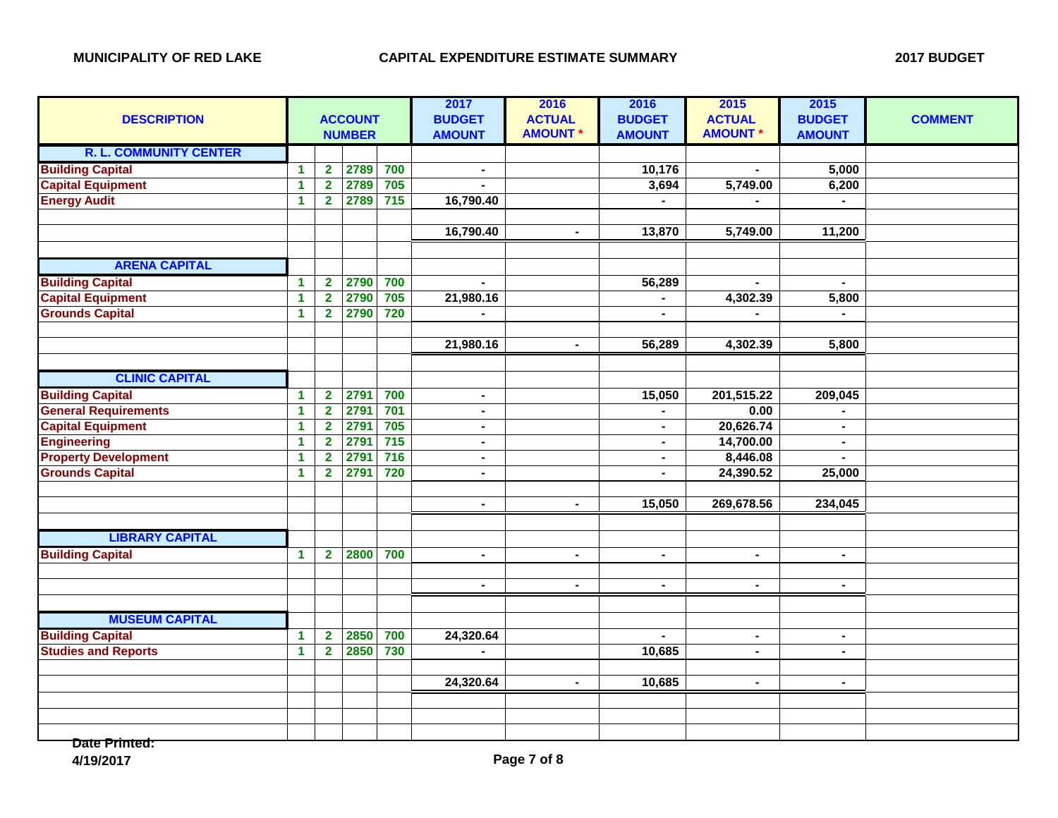| <b>DESCRIPTION</b>            |              | <b>ACCOUNT</b><br><b>NUMBER</b> |      |                  | 2017<br><b>BUDGET</b><br><b>AMOUNT</b> | 2016<br><b>ACTUAL</b><br><b>AMOUNT *</b> | 2016<br><b>BUDGET</b><br><b>AMOUNT</b> | 2015<br><b>ACTUAL</b><br><b>AMOUNT*</b> | 2015<br><b>BUDGET</b><br><b>AMOUNT</b> | <b>COMMENT</b> |
|-------------------------------|--------------|---------------------------------|------|------------------|----------------------------------------|------------------------------------------|----------------------------------------|-----------------------------------------|----------------------------------------|----------------|
| <b>R. L. COMMUNITY CENTER</b> |              |                                 |      |                  |                                        |                                          |                                        |                                         |                                        |                |
| <b>Building Capital</b>       | 1            | $\overline{\mathbf{2}}$         | 2789 | 700              | $\blacksquare$                         |                                          | 10,176                                 |                                         | 5,000                                  |                |
| <b>Capital Equipment</b>      | $\mathbf{1}$ | $\overline{2}$                  | 2789 | 705              | $\overline{a}$                         |                                          | 3,694                                  | 5,749.00                                | 6,200                                  |                |
| <b>Energy Audit</b>           | $\mathbf{1}$ | $\overline{2}$                  | 2789 | $\overline{715}$ | 16,790.40                              |                                          | $\blacksquare$                         |                                         | $\blacksquare$                         |                |
|                               |              |                                 |      |                  |                                        |                                          |                                        |                                         |                                        |                |
|                               |              |                                 |      |                  | 16,790.40                              | $\blacksquare$                           | 13,870                                 | 5,749.00                                | 11,200                                 |                |
|                               |              |                                 |      |                  |                                        |                                          |                                        |                                         |                                        |                |
| <b>ARENA CAPITAL</b>          |              |                                 |      |                  |                                        |                                          |                                        |                                         |                                        |                |
| <b>Building Capital</b>       | $\mathbf{1}$ | $\overline{2}$                  | 2790 | 700              |                                        |                                          | 56,289                                 |                                         | $\blacksquare$                         |                |
| <b>Capital Equipment</b>      | $\mathbf{1}$ | $\overline{\mathbf{2}}$         | 2790 | 705              | 21,980.16                              |                                          |                                        | 4,302.39                                | 5,800                                  |                |
| <b>Grounds Capital</b>        | $\mathbf{1}$ | $\overline{2}$                  | 2790 | 720              | $\blacksquare$                         |                                          | $\overline{a}$                         | $\blacksquare$                          | $\mathbf{r}$                           |                |
|                               |              |                                 |      |                  |                                        |                                          |                                        |                                         |                                        |                |
|                               |              |                                 |      |                  | 21,980.16                              | $\blacksquare$                           | 56,289                                 | 4,302.39                                | 5,800                                  |                |
|                               |              |                                 |      |                  |                                        |                                          |                                        |                                         |                                        |                |
| <b>CLINIC CAPITAL</b>         |              |                                 |      |                  |                                        |                                          |                                        |                                         |                                        |                |
| <b>Building Capital</b>       | $\mathbf{1}$ | $\mathbf{2}$                    | 2791 | 700              | $\blacksquare$                         |                                          | 15,050                                 | 201,515.22                              | 209,045                                |                |
| <b>General Requirements</b>   | $\mathbf{1}$ | $\overline{\mathbf{2}}$         | 2791 | 701              | $\blacksquare$                         |                                          |                                        | 0.00                                    |                                        |                |
| <b>Capital Equipment</b>      | $\mathbf{1}$ | $\overline{2}$                  | 2791 | 705              | $\blacksquare$                         |                                          |                                        | 20,626.74                               | $\blacksquare$                         |                |
| <b>Engineering</b>            | $\mathbf{1}$ | $\overline{2}$                  | 2791 | 715              | $\blacksquare$                         |                                          | $\blacksquare$                         | 14,700.00                               | $\blacksquare$                         |                |
| <b>Property Development</b>   | $\mathbf{1}$ | $\overline{\mathbf{2}}$         | 2791 | 716              | $\blacksquare$                         |                                          | $\blacksquare$                         | 8,446.08                                |                                        |                |
| <b>Grounds Capital</b>        | $\mathbf{1}$ | $\overline{\mathbf{2}}$         | 2791 | 720              | $\blacksquare$                         |                                          | $\blacksquare$                         | 24,390.52                               | 25,000                                 |                |
|                               |              |                                 |      |                  |                                        |                                          |                                        |                                         |                                        |                |
|                               |              |                                 |      |                  | $\blacksquare$                         | $\blacksquare$                           | 15,050                                 | 269,678.56                              | 234,045                                |                |
|                               |              |                                 |      |                  |                                        |                                          |                                        |                                         |                                        |                |
| <b>LIBRARY CAPITAL</b>        |              |                                 |      |                  |                                        |                                          |                                        |                                         |                                        |                |
| <b>Building Capital</b>       | $\mathbf{1}$ | 2 <sup>1</sup>                  | 2800 | 700              | $\blacksquare$                         | $\blacksquare$                           | $\blacksquare$                         | $\blacksquare$                          | $\blacksquare$                         |                |
|                               |              |                                 |      |                  |                                        |                                          |                                        |                                         |                                        |                |
|                               |              |                                 |      |                  | $\blacksquare$                         | $\blacksquare$                           | $\blacksquare$                         | $\blacksquare$                          | $\blacksquare$                         |                |
|                               |              |                                 |      |                  |                                        |                                          |                                        |                                         |                                        |                |
| <b>MUSEUM CAPITAL</b>         |              |                                 |      |                  |                                        |                                          |                                        |                                         |                                        |                |
| <b>Building Capital</b>       | $\mathbf{1}$ | $\mathbf{2}$                    | 2850 | 700              | 24,320.64                              |                                          |                                        | $\blacksquare$                          | $\sim$                                 |                |
| <b>Studies and Reports</b>    | $\mathbf{1}$ | $\overline{\mathbf{2}}$         | 2850 | 730              |                                        |                                          | 10,685                                 |                                         |                                        |                |
|                               |              |                                 |      |                  |                                        |                                          |                                        |                                         |                                        |                |
|                               |              |                                 |      |                  | 24,320.64                              | $\blacksquare$                           | 10,685                                 | $\blacksquare$                          | $\blacksquare$                         |                |
|                               |              |                                 |      |                  |                                        |                                          |                                        |                                         |                                        |                |
|                               |              |                                 |      |                  |                                        |                                          |                                        |                                         |                                        |                |
|                               |              |                                 |      |                  |                                        |                                          |                                        |                                         |                                        |                |

**Date Printed:**